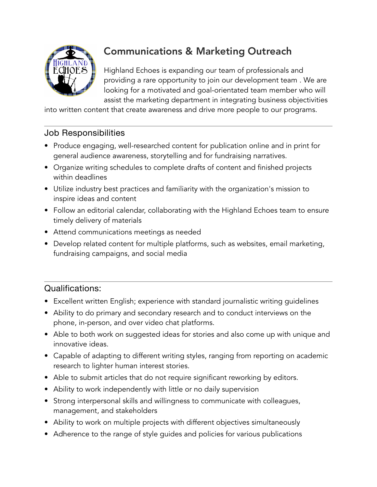

# Communications & Marketing Outreach

Highland Echoes is expanding our team of professionals and providing a rare opportunity to join our development team . We are looking for a motivated and goal-orientated team member who will assist the marketing department in integrating business objectivities

into written content that create awareness and drive more people to our programs.

### Job Responsibilities

- Produce engaging, well-researched content for publication online and in print for general audience awareness, storytelling and for fundraising narratives.
- Organize writing schedules to complete drafts of content and finished projects within deadlines
- Utilize industry best practices and familiarity with the organization's mission to inspire ideas and content
- Follow an editorial calendar, collaborating with the Highland Echoes team to ensure timely delivery of materials
- Attend communications meetings as needed
- Develop related content for multiple platforms, such as websites, email marketing, fundraising campaigns, and social media

## Qualifications:

- Excellent written English; experience with standard journalistic writing guidelines
- Ability to do primary and secondary research and to conduct interviews on the phone, in-person, and over video chat platforms.
- Able to both work on suggested ideas for stories and also come up with unique and innovative ideas.
- Capable of adapting to different writing styles, ranging from reporting on academic research to lighter human interest stories.
- Able to submit articles that do not require significant reworking by editors.
- Ability to work independently with little or no daily supervision
- Strong interpersonal skills and willingness to communicate with colleagues, management, and stakeholders
- Ability to work on multiple projects with different objectives simultaneously
- Adherence to the range of style guides and policies for various publications